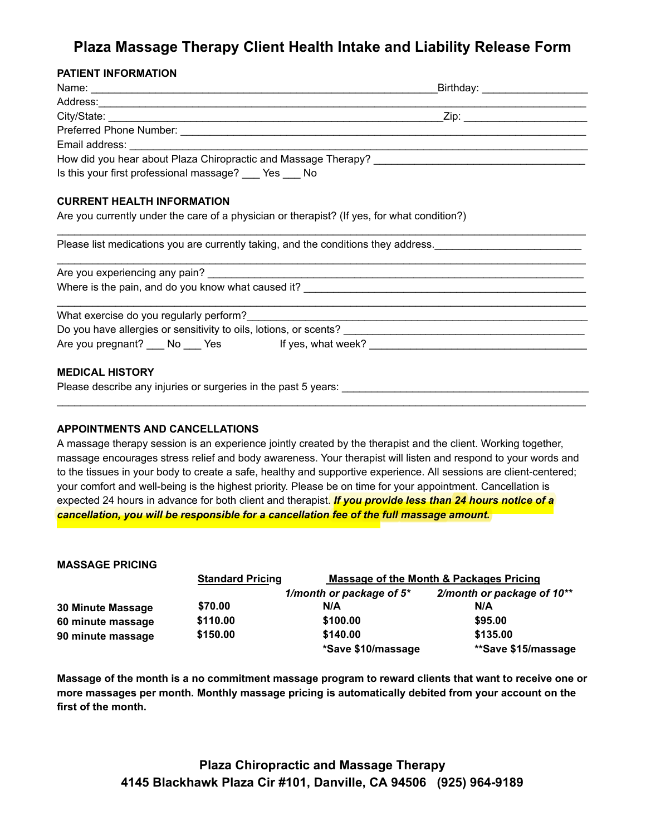# **Plaza Massage Therapy Client Health Intake and Liability Release Form**

## **PATIENT INFORMATION**

|                                                                               | Birthday: _____________________                                                             |
|-------------------------------------------------------------------------------|---------------------------------------------------------------------------------------------|
|                                                                               |                                                                                             |
|                                                                               |                                                                                             |
|                                                                               |                                                                                             |
|                                                                               |                                                                                             |
|                                                                               |                                                                                             |
| Is this your first professional massage? Yes No                               |                                                                                             |
| <b>CURRENT HEALTH INFORMATION</b>                                             |                                                                                             |
|                                                                               | Are you currently under the care of a physician or therapist? (If yes, for what condition?) |
|                                                                               |                                                                                             |
|                                                                               |                                                                                             |
|                                                                               |                                                                                             |
|                                                                               |                                                                                             |
|                                                                               |                                                                                             |
|                                                                               | Are you pregnant? No Yes If yes, what week?                                                 |
| <b>MEDICAL HISTORY</b>                                                        |                                                                                             |
| Please describe any injuries or surgeries in the past 5 years: ______________ |                                                                                             |

#### **APPOINTMENTS AND CANCELLATIONS**

A massage therapy session is an experience jointly created by the therapist and the client. Working together, massage encourages stress relief and body awareness. Your therapist will listen and respond to your words and to the tissues in your body to create a safe, healthy and supportive experience. All sessions are client-centered; your comfort and well-being is the highest priority. Please be on time for your appointment. Cancellation is expected 24 hours in advance for both client and therapist. *If you provide less than 24 hours notice of a cancellation, you will be responsible for a cancellation fee of the full massage amount.* 

#### **MASSAGE PRICING**

|                   | <b>Standard Pricing</b> | Massage of the Month & Packages Pricing |                            |
|-------------------|-------------------------|-----------------------------------------|----------------------------|
|                   |                         | 1/month or package of $5^*$             | 2/month or package of 10** |
| 30 Minute Massage | \$70.00                 | N/A                                     | N/A                        |
| 60 minute massage | \$110.00                | \$100.00                                | \$95.00                    |
| 90 minute massage | \$150.00                | \$140.00                                | \$135.00                   |
|                   |                         | *Save \$10/massage                      | **Save \$15/massage        |

**Massage of the month is a no commitment massage program to reward clients that want to receive one or more massages per month. Monthly massage pricing is automatically debited from your account on the first of the month.**